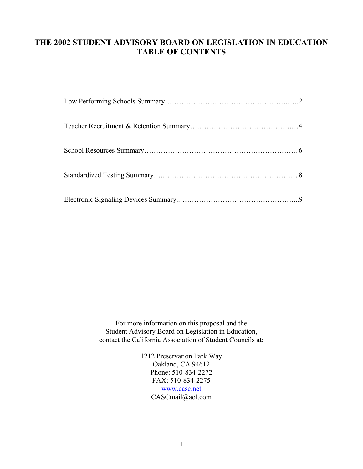# **THE 2002 STUDENT ADVISORY BOARD ON LEGISLATION IN EDUCATION TABLE OF CONTENTS**

For more information on this proposal and the Student Advisory Board on Legislation in Education, contact the California Association of Student Councils at:

> 1212 Preservation Park Way Oakland, CA 94612 Phone: 510-834-2272 FAX: 510-834-2275 [www.casc.net](http://www.casc.net/) CASCmail@aol.com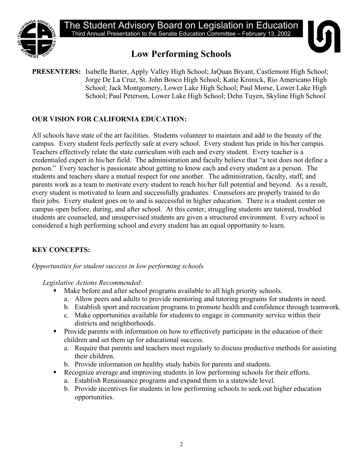

# **Low Performing Schools**

**PRESENTERS:** Isabelle Barter, Apply Valley High School; JaQuan Bryant, Castlemont High School; Jorge De La Cruz, St. John Bosco High School; Katie Kronick, Rio Americano High School; Jack Montgomery, Lower Lake High School; Paul Morse, Lower Lake High School; Paul Peterson, Lower Lake High School; Dehn Tuyen, Skyline High School

# **OUR VISION FOR CALIFORNIA EDUCATION:**

All schools have state of the art facilities. Students volunteer to maintain and add to the beauty of the campus. Every student feels perfectly safe at every school. Every student has pride in his/her campus. Teachers effectively relate the state curriculum with each and every student. Every teacher is a credentialed expert in his/her field. The administration and faculty believe that "a test does not define a person." Every teacher is passionate about getting to know each and every student as a person. The students and teachers share a mutual respect for one another. The administration, faculty, staff, and parents work as a team to motivate every student to reach his/her full potential and beyond. As a result, every student is motivated to learn and successfully graduates. Counselors are properly trained to do their jobs. Every student goes on to and is successful in higher education. There is a student center on campus open before, during, and after school. At this center, struggling students are tutored, troubled students are counseled, and unsupervised students are given a structured environment. Every school is considered a high performing school and every student has an equal opportunity to learn.

# **KEY CONCEPTS:**

*Opportunities for student success in low performing schools* 

*Legislative Actions Recommended:* 

- Make before and after school programs available to all high priority schools.
- a. Allow peers and adults to provide mentoring and tutoring programs for students in need.
- b. Establish sport and recreation programs to promote health and confidence through teamwork.
- c. Make opportunities available for students to engage in community service within their districts and neighborhoods.
- **Provide parents with information on how to effectively participate in the education of their** children and set them up for educational success.
	- a. Require that parents and teachers meet regularly to discuss productive methods for assisting their children.
	- b. Provide information on healthy study habits for parents and students.
- Recognize average and improving students in low performing schools for their efforts.
	- a. Establish Renaissance programs and expand them to a statewide level.
	- b. Provide incentives for students in low performing schools to seek out higher education opportunities.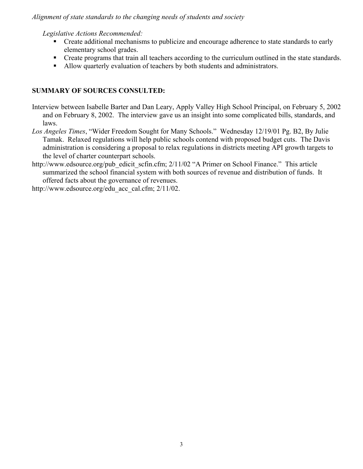#### *Alignment of state standards to the changing needs of students and society*

*Legislative Actions Recommended:* 

- **•** Create additional mechanisms to publicize and encourage adherence to state standards to early elementary school grades.
- **•** Create programs that train all teachers according to the curriculum outlined in the state standards.
- Allow quarterly evaluation of teachers by both students and administrators.

#### **SUMMARY OF SOURCES CONSULTED:**

Interview between Isabelle Barter and Dan Leary, Apply Valley High School Principal, on February 5, 2002 and on February 8, 2002. The interview gave us an insight into some complicated bills, standards, and laws.

- *Los Angeles Times*, "Wider Freedom Sought for Many Schools." Wednesday 12/19/01 Pg. B2, By Julie Tamak. Relaxed regulations will help public schools contend with proposed budget cuts. The Davis administration is considering a proposal to relax regulations in districts meeting API growth targets to the level of charter counterpart schools.
- http://www.edsource.org/pub\_edicit\_scfin.cfm; 2/11/02 "A Primer on School Finance." This article summarized the school financial system with both sources of revenue and distribution of funds. It offered facts about the governance of revenues.

http://www.edsource.org/edu\_acc\_cal.cfm; 2/11/02.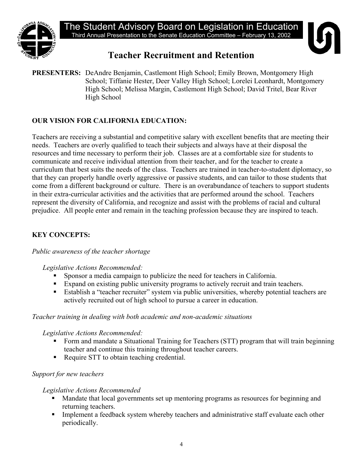

# **Teacher Recruitment and Retention**

**PRESENTERS:** DeAndre Benjamin, Castlemont High School; Emily Brown, Montgomery High School; Tiffanie Hester, Deer Valley High School; Lorelei Leonhardt, Montgomery High School; Melissa Margin, Castlemont High School; David Tritel, Bear River High School

# **OUR VISION FOR CALIFORNIA EDUCATION:**

Teachers are receiving a substantial and competitive salary with excellent benefits that are meeting their needs. Teachers are overly qualified to teach their subjects and always have at their disposal the resources and time necessary to perform their job. Classes are at a comfortable size for students to communicate and receive individual attention from their teacher, and for the teacher to create a curriculum that best suits the needs of the class. Teachers are trained in teacher-to-student diplomacy, so that they can properly handle overly aggressive or passive students, and can tailor to those students that come from a different background or culture. There is an overabundance of teachers to support students in their extra-curricular activities and the activities that are performed around the school. Teachers represent the diversity of California, and recognize and assist with the problems of racial and cultural prejudice. All people enter and remain in the teaching profession because they are inspired to teach.

## **KEY CONCEPTS:**

#### *Public awareness of the teacher shortage*

#### *Legislative Actions Recommended:*

- Sponsor a media campaign to publicize the need for teachers in California.
- Expand on existing public university programs to actively recruit and train teachers.
- Establish a "teacher recruiter" system via public universities, whereby potential teachers are actively recruited out of high school to pursue a career in education.

#### *Teacher training in dealing with both academic and non-academic situations*

#### *Legislative Actions Recommended:*

- Form and mandate a Situational Training for Teachers (STT) program that will train beginning teacher and continue this training throughout teacher careers.
- Require STT to obtain teaching credential.

#### *Support for new teachers*

#### *Legislative Actions Recommended*

- Mandate that local governments set up mentoring programs as resources for beginning and returning teachers.
- Implement a feedback system whereby teachers and administrative staff evaluate each other periodically.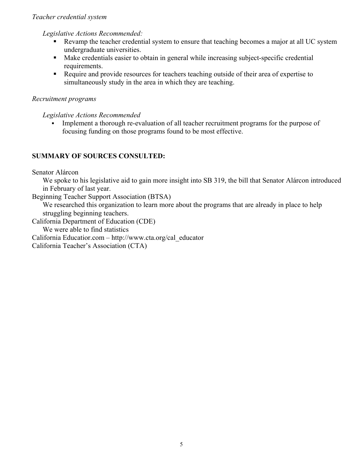#### *Teacher credential system*

*Legislative Actions Recommended:* 

- Revamp the teacher credential system to ensure that teaching becomes a major at all UC system undergraduate universities.
- Make credentials easier to obtain in general while increasing subject-specific credential requirements.
- Require and provide resources for teachers teaching outside of their area of expertise to simultaneously study in the area in which they are teaching.

# *Recruitment programs*

*Legislative Actions Recommended* 

 Implement a thorough re-evaluation of all teacher recruitment programs for the purpose of focusing funding on those programs found to be most effective.

# **SUMMARY OF SOURCES CONSULTED:**

Senator Alárcon

We spoke to his legislative aid to gain more insight into SB 319, the bill that Senator Alárcon introduced in February of last year.

Beginning Teacher Support Association (BTSA)

We researched this organization to learn more about the programs that are already in place to help struggling beginning teachers.

California Department of Education (CDE)

We were able to find statistics

California Educatior.com – http://www.cta.org/cal\_educator

California Teacher's Association (CTA)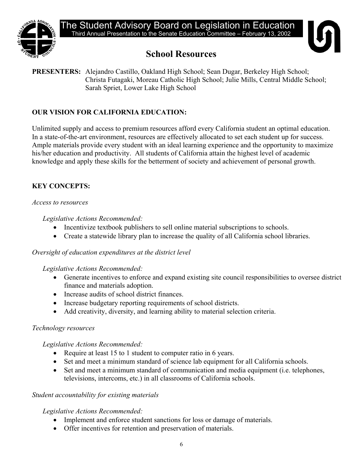



# **School Resources**

**PRESENTERS:** Alejandro Castillo, Oakland High School; Sean Dugar, Berkeley High School; Christa Futagaki, Moreau Catholic High School; Julie Mills, Central Middle School; Sarah Spriet, Lower Lake High School

# **OUR VISION FOR CALIFORNIA EDUCATION:**

Unlimited supply and access to premium resources afford every California student an optimal education. In a state-of-the-art environment, resources are effectively allocated to set each student up for success. Ample materials provide every student with an ideal learning experience and the opportunity to maximize his/her education and productivity. All students of California attain the highest level of academic knowledge and apply these skills for the betterment of society and achievement of personal growth.

# **KEY CONCEPTS:**

#### *Access to resources*

## *Legislative Actions Recommended:*

- Incentivize textbook publishers to sell online material subscriptions to schools.
- Create a statewide library plan to increase the quality of all California school libraries.

## *Oversight of education expenditures at the district level*

## *Legislative Actions Recommended:*

- Generate incentives to enforce and expand existing site council responsibilities to oversee district finance and materials adoption.
- Increase audits of school district finances.
- Increase budgetary reporting requirements of school districts.
- Add creativity, diversity, and learning ability to material selection criteria.

## *Technology resources*

#### *Legislative Actions Recommended:*

- Require at least 15 to 1 student to computer ratio in 6 years.
- Set and meet a minimum standard of science lab equipment for all California schools.
- Set and meet a minimum standard of communication and media equipment (i.e. telephones, televisions, intercoms, etc.) in all classrooms of California schools.

## *Student accountability for existing materials*

## *Legislative Actions Recommended:*

- Implement and enforce student sanctions for loss or damage of materials.
- Offer incentives for retention and preservation of materials.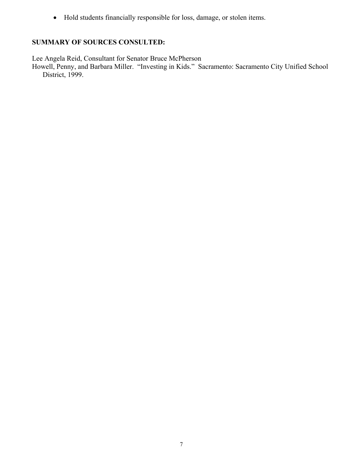• Hold students financially responsible for loss, damage, or stolen items.

#### **SUMMARY OF SOURCES CONSULTED:**

Lee Angela Reid, Consultant for Senator Bruce McPherson

Howell, Penny, and Barbara Miller. "Investing in Kids." Sacramento: Sacramento City Unified School District, 1999.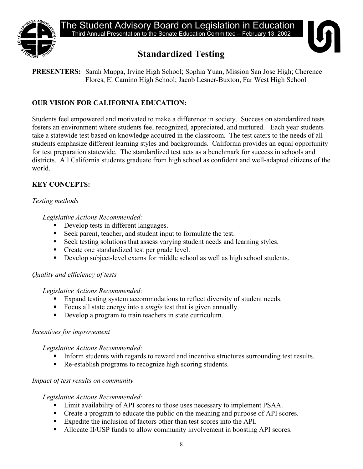

# **Standardized Testing**



**PRESENTERS:** Sarah Muppa, Irvine High School; Sophia Yuan, Mission San Jose High; Cherence Flores, El Camino High School; Jacob Lesner-Buxton, Far West High School

# **OUR VISION FOR CALIFORNIA EDUCATION:**

Students feel empowered and motivated to make a difference in society. Success on standardized tests fosters an environment where students feel recognized, appreciated, and nurtured. Each year students take a statewide test based on knowledge acquired in the classroom. The test caters to the needs of all students emphasize different learning styles and backgrounds. California provides an equal opportunity for test preparation statewide. The standardized test acts as a benchmark for success in schools and districts. All California students graduate from high school as confident and well-adapted citizens of the world.

# **KEY CONCEPTS:**

#### *Testing methods*

*Legislative Actions Recommended:* 

- Develop tests in different languages.
- Seek parent, teacher, and student input to formulate the test.
- Seek testing solutions that assess varying student needs and learning styles.
- Create one standardized test per grade level.
- Develop subject-level exams for middle school as well as high school students.

#### *Quality and efficiency of tests*

#### *Legislative Actions Recommended:*

- Expand testing system accommodations to reflect diversity of student needs.
- Focus all state energy into a *single* test that is given annually.
- Develop a program to train teachers in state curriculum.

#### *Incentives for improvement*

*Legislative Actions Recommended:* 

- Inform students with regards to reward and incentive structures surrounding test results.
- Re-establish programs to recognize high scoring students.

#### *Impact of test results on community*

#### *Legislative Actions Recommended:*

- Limit availability of API scores to those uses necessary to implement PSAA.
- Create a program to educate the public on the meaning and purpose of API scores.
- Expedite the inclusion of factors other than test scores into the API.
- Allocate II/USP funds to allow community involvement in boosting API scores.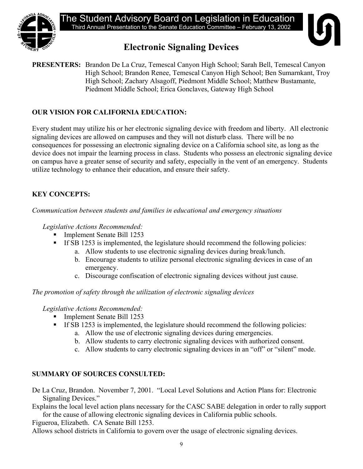

The Student Advisory Board on Legislation in Education Third Annual Presentation to the Senate Education Committee – February 13, 2002

# **Electronic Signaling Devices**

**PRESENTERS:** Brandon De La Cruz, Temescal Canyon High School; Sarah Bell, Temescal Canyon High School; Brandon Renee, Temescal Canyon High School; Ben Sumarnkant, Troy High School; Zachary Alsagoff, Piedmont Middle School; Matthew Bustamante, Piedmont Middle School; Erica Gonclaves, Gateway High School

# **OUR VISION FOR CALIFORNIA EDUCATION:**

Every student may utilize his or her electronic signaling device with freedom and liberty. All electronic signaling devices are allowed on campuses and they will not disturb class. There will be no consequences for possessing an electronic signaling device on a California school site, as long as the device does not impair the learning process in class. Students who possess an electronic signaling device on campus have a greater sense of security and safety, especially in the vent of an emergency. Students utilize technology to enhance their education, and ensure their safety.

# **KEY CONCEPTS:**

*Communication between students and families in educational and emergency situations* 

*Legislative Actions Recommended:* 

- Implement Senate Bill 1253
- If SB 1253 is implemented, the legislature should recommend the following policies:
	- a. Allow students to use electronic signaling devices during break/lunch.
	- b. Encourage students to utilize personal electronic signaling devices in case of an emergency.
	- c. Discourage confiscation of electronic signaling devices without just cause.

*The promotion of safety through the utilization of electronic signaling devices* 

*Legislative Actions Recommended:* 

- Implement Senate Bill 1253
- If SB 1253 is implemented, the legislature should recommend the following policies:
	- a. Allow the use of electronic signaling devices during emergencies.
	- b. Allow students to carry electronic signaling devices with authorized consent.
	- c. Allow students to carry electronic signaling devices in an "off" or "silent" mode.

# **SUMMARY OF SOURCES CONSULTED:**

De La Cruz, Brandon. November 7, 2001. "Local Level Solutions and Action Plans for: Electronic Signaling Devices."

Explains the local level action plans necessary for the CASC SABE delegation in order to rally support for the cause of allowing electronic signaling devices in California public schools.

Figueroa, Elizabeth. CA Senate Bill 1253.

Allows school districts in California to govern over the usage of electronic signaling devices.